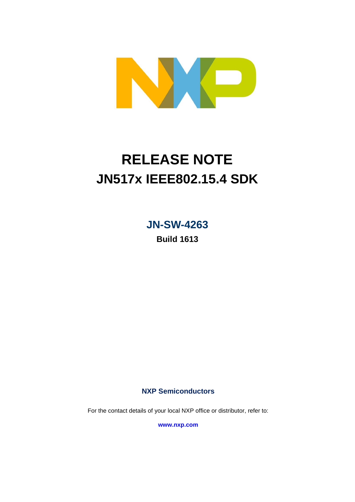

# **RELEASE NOTE JN517x IEEE802.15.4 SDK**

**JN-SW-4263**

**Build 1613**

**NXP Semiconductors**

For the contact details of your local NXP office or distributor, refer to:

**[www.nxp.com](http://www.nxp.com/)**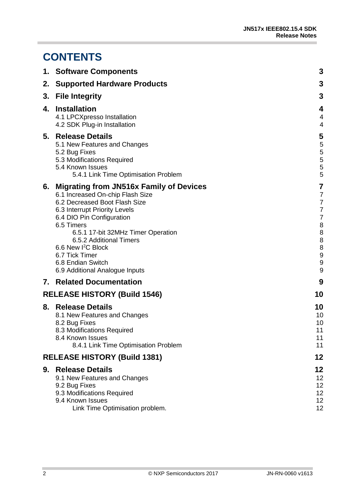٠

# **CONTENTS**

|    | 1. Software Components                                                                                                                                                                                                                                                                                                                                                  | 3                                                                                                                                                       |
|----|-------------------------------------------------------------------------------------------------------------------------------------------------------------------------------------------------------------------------------------------------------------------------------------------------------------------------------------------------------------------------|---------------------------------------------------------------------------------------------------------------------------------------------------------|
| 2. | <b>Supported Hardware Products</b>                                                                                                                                                                                                                                                                                                                                      | 3                                                                                                                                                       |
| 3. | <b>File Integrity</b>                                                                                                                                                                                                                                                                                                                                                   | 3                                                                                                                                                       |
| 4. | <b>Installation</b><br>4.1 LPCXpresso Installation<br>4.2 SDK Plug-in Installation                                                                                                                                                                                                                                                                                      | $\overline{\mathbf{4}}$<br>$\overline{\mathbf{4}}$<br>4                                                                                                 |
|    | 5. Release Details<br>5.1 New Features and Changes<br>5.2 Bug Fixes<br>5.3 Modifications Required<br>5.4 Known Issues<br>5.4.1 Link Time Optimisation Problem                                                                                                                                                                                                           | 5<br>5<br>$\begin{array}{c} 5 \\ 5 \\ 5 \end{array}$<br>5                                                                                               |
|    | 6. Migrating from JN516x Family of Devices<br>6.1 Increased On-chip Flash Size<br>6.2 Decreased Boot Flash Size<br>6.3 Interrupt Priority Levels<br>6.4 DIO Pin Configuration<br>6.5 Timers<br>6.5.1 17-bit 32MHz Timer Operation<br>6.5.2 Additional Timers<br>6.6 New I <sup>2</sup> C Block<br>6.7 Tick Timer<br>6.8 Endian Switch<br>6.9 Additional Analogue Inputs | 7<br>$\overline{7}$<br>$\overline{7}$<br>$\overline{7}$<br>$\overline{7}$<br>8<br>8<br>8<br>8<br>$\boldsymbol{9}$<br>$\overline{9}$<br>$\boldsymbol{9}$ |
|    | <b>7. Related Documentation</b>                                                                                                                                                                                                                                                                                                                                         | 9                                                                                                                                                       |
|    | <b>RELEASE HISTORY (Build 1546)</b>                                                                                                                                                                                                                                                                                                                                     | 10                                                                                                                                                      |
|    | 8. Release Details<br>8.1 New Features and Changes<br>8.2 Bug Fixes<br>8.3 Modifications Required<br>8.4 Known Issues<br>8.4.1 Link Time Optimisation Problem                                                                                                                                                                                                           | 10<br>10<br>10<br>11<br>11<br>11                                                                                                                        |
|    | <b>RELEASE HISTORY (Build 1381)</b>                                                                                                                                                                                                                                                                                                                                     | 12                                                                                                                                                      |
| 9. | <b>Release Details</b><br>9.1 New Features and Changes<br>9.2 Bug Fixes<br>9.3 Modifications Required<br>9.4 Known Issues<br>Link Time Optimisation problem.                                                                                                                                                                                                            | 12<br>12<br>12<br>12<br>12<br>12                                                                                                                        |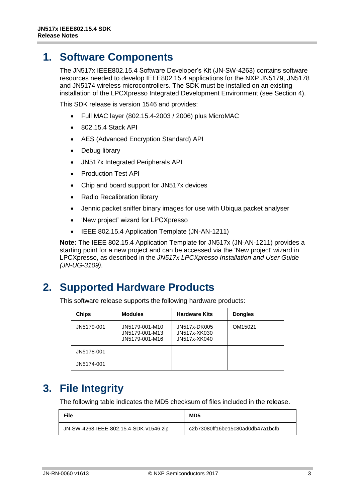# <span id="page-2-0"></span>**1. Software Components**

The JN517x IEEE802.15.4 Software Developer's Kit (JN-SW-4263) contains software resources needed to develop IEEE802.15.4 applications for the NXP JN5179, JN5178 and JN5174 wireless microcontrollers. The SDK must be installed on an existing installation of the LPCXpresso Integrated Development Environment (see Section [4\)](#page-3-0).

This SDK release is version 1546 and provides:

- Full MAC layer (802.15.4-2003 / 2006) plus MicroMAC
- 802.15.4 Stack API
- AES (Advanced Encryption Standard) API
- Debug library
- JN517x Integrated Peripherals API
- Production Test API
- Chip and board support for JN517x devices
- Radio Recalibration library
- Jennic packet sniffer binary images for use with Ubiqua packet analyser
- 'New project' wizard for LPCXpresso
- IEEE 802.15.4 Application Template (JN-AN-1211)

**Note:** The IEEE 802.15.4 Application Template for JN517x (JN-AN-1211) provides a starting point for a new project and can be accessed via the 'New project' wizard in LPCXpresso, as described in the *JN517x LPCXpresso Installation and User Guide (JN-UG-3109)*.

# <span id="page-2-1"></span>**2. Supported Hardware Products**

This software release supports the following hardware products:

| <b>Chips</b> | <b>Modules</b>                                     | <b>Hardware Kits</b>                         | <b>Dongles</b> |
|--------------|----------------------------------------------------|----------------------------------------------|----------------|
| JN5179-001   | JN5179-001-M10<br>JN5179-001-M13<br>JN5179-001-M16 | JN517x-DK005<br>JN517x-XK030<br>JN517x-XK040 | OM15021        |
| JN5178-001   |                                                    |                                              |                |
| JN5174-001   |                                                    |                                              |                |

# <span id="page-2-2"></span>**3. File Integrity**

The following table indicates the MD5 checksum of files included in the release.

| <b>File</b>                            | MD <sub>5</sub>                  |
|----------------------------------------|----------------------------------|
| JN-SW-4263-IEEE-802.15.4-SDK-v1546.zip | c2b73080ff16be15c80ad0db47a1bcfb |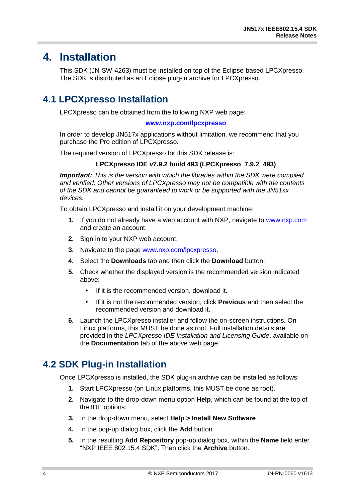# <span id="page-3-0"></span>**4. Installation**

This SDK (JN-SW-4263) must be installed on top of the Eclipse-based LPCXpresso. The SDK is distributed as an Eclipse plug-in archive for LPCXpresso.

# <span id="page-3-1"></span>**4.1 LPCXpresso Installation**

LPCXpresso can be obtained from the following NXP web page:

#### **[www.nxp.com/lpcxpresso](http://www.nxp.com/lpcxpresso)**

In order to develop JN517x applications without limitation, we recommend that you purchase the Pro edition of LPCXpresso.

The required version of LPCXpresso for this SDK release is:

#### **LPCXpresso IDE v7.9.2 build 493 (LPCXpresso\_7.9.2\_493)**

*Important: This is the version with which the libraries within the SDK were compiled and verified. Other versions of LPCXpresso may not be compatible with the contents of the SDK and cannot be guaranteed to work or be supported with the JN51xx devices.*

To obtain LPCXpresso and install it on your development machine:

- **1.** If you do not already have a web account with NXP, navigate to [www.nxp.com](http://www.nxp.com/) and create an account.
- **2.** Sign in to your NXP web account.
- **3.** Navigate to the page [www.nxp.com/lpcxpresso.](http://www.nxp.com/lpcxpresso)
- **4.** Select the **Downloads** tab and then click the **Download** button.
- **5.** Check whether the displayed version is the recommended version indicated above:
	- If it is the recommended version, download it.
	- If it is not the recommended version, click **Previous** and then select the recommended version and download it.
- **6.** Launch the LPCXpresso installer and follow the on-screen instructions. On Linux platforms, this MUST be done as root. Full installation details are provided in the *LPCXpresso IDE Installation and Licensing Guide*, available on the **Documentation** tab of the above web page.

# <span id="page-3-2"></span>**4.2 SDK Plug-in Installation**

Once LPCXpresso is installed, the SDK plug-in archive can be installed as follows:

- **1.** Start LPCXpresso (on Linux platforms, this MUST be done as root).
- **2.** Navigate to the drop-down menu option **Help**, which can be found at the top of the IDE options.
- **3.** In the drop-down menu, select **Help > Install New Software**.
- **4.** In the pop-up dialog box, click the **Add** button.
- **5.** In the resulting **Add Repository** pop-up dialog box, within the **Name** field enter "NXP IEEE 802.15.4 SDK". Then click the **Archive** button.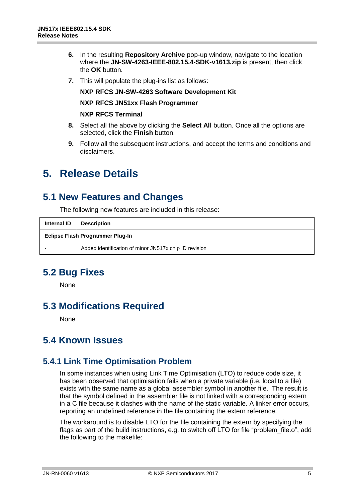- **6.** In the resulting **Repository Archive** pop-up window, navigate to the location where the **JN-SW-4263-IEEE-802.15.4-SDK-v1613.zip** is present, then click the **OK** button.
- **7.** This will populate the plug-ins list as follows:

#### **NXP RFCS JN-SW-4263 Software Development Kit**

#### **NXP RFCS JN51xx Flash Programmer**

#### **NXP RFCS Terminal**

- **8.** Select all the above by clicking the **Select All** button. Once all the options are selected, click the **Finish** button.
- **9.** Follow all the subsequent instructions, and accept the terms and conditions and disclaimers.

# <span id="page-4-0"></span>**5. Release Details**

### <span id="page-4-1"></span>**5.1 New Features and Changes**

The following new features are included in this release:

| Internal ID                      | <b>Description</b>                                    |  |
|----------------------------------|-------------------------------------------------------|--|
| Eclipse Flash Programmer Plug-In |                                                       |  |
|                                  | Added identification of minor JN517x chip ID revision |  |

### <span id="page-4-2"></span>**5.2 Bug Fixes**

None

# <span id="page-4-3"></span>**5.3 Modifications Required**

None

### <span id="page-4-4"></span>**5.4 Known Issues**

#### <span id="page-4-5"></span>**5.4.1 Link Time Optimisation Problem**

In some instances when using Link Time Optimisation (LTO) to reduce code size, it has been observed that optimisation fails when a private variable (i.e. local to a file) exists with the same name as a global assembler symbol in another file. The result is that the symbol defined in the assembler file is not linked with a corresponding extern in a C file because it clashes with the name of the static variable. A linker error occurs, reporting an undefined reference in the file containing the extern reference.

The workaround is to disable LTO for the file containing the extern by specifying the flags as part of the build instructions, e.g. to switch off LTO for file "problem file.o", add the following to the makefile: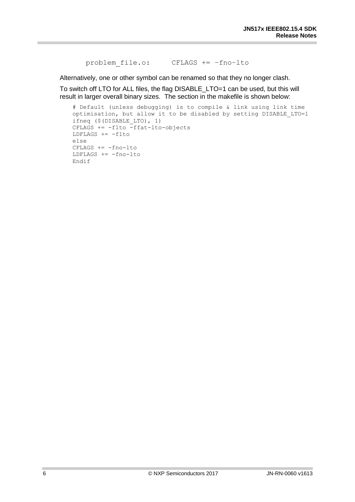problem\_file.o: CFLAGS += –fno–lto

Alternatively, one or other symbol can be renamed so that they no longer clash.

To switch off LTO for ALL files, the flag DISABLE\_LTO=1 can be used, but this will result in larger overall binary sizes. The section in the makefile is shown below:

```
# Default (unless debugging) is to compile & link using link time 
optimisation, but allow it to be disabled by setting DISABLE_LTO=1
ifneq ($(DISABLE_LTO), 1)
CFLAGS += -flto -ffat-lto-objectsLDFLAGS += -flto
else
CFLAGS += -fno-lto
LDFLAGS += -fno-lto
Endif
```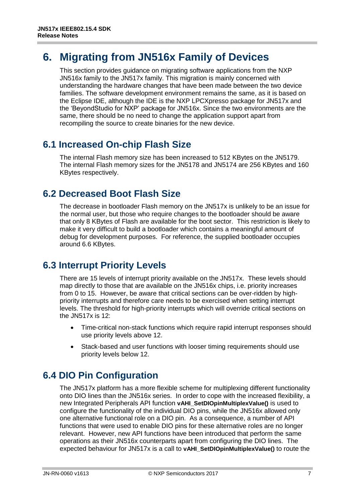# <span id="page-6-0"></span>**6. Migrating from JN516x Family of Devices**

This section provides guidance on migrating software applications from the NXP JN516x family to the JN517x family. This migration is mainly concerned with understanding the hardware changes that have been made between the two device families. The software development environment remains the same, as it is based on the Eclipse IDE, although the IDE is the NXP LPCXpresso package for JN517x and the 'BeyondStudio for NXP' package for JN516x. Since the two environments are the same, there should be no need to change the application support apart from recompiling the source to create binaries for the new device.

# <span id="page-6-1"></span>**6.1 Increased On-chip Flash Size**

The internal Flash memory size has been increased to 512 KBytes on the JN5179. The internal Flash memory sizes for the JN5178 and JN5174 are 256 KBytes and 160 KBytes respectively.

### <span id="page-6-2"></span>**6.2 Decreased Boot Flash Size**

The decrease in bootloader Flash memory on the JN517x is unlikely to be an issue for the normal user, but those who require changes to the bootloader should be aware that only 8 KBytes of Flash are available for the boot sector. This restriction is likely to make it very difficult to build a bootloader which contains a meaningful amount of debug for development purposes. For reference, the supplied bootloader occupies around 6.6 KBytes.

### <span id="page-6-3"></span>**6.3 Interrupt Priority Levels**

There are 15 levels of interrupt priority available on the JN517x. These levels should map directly to those that are available on the JN516x chips, i.e. priority increases from 0 to 15. However, be aware that critical sections can be over-ridden by highpriority interrupts and therefore care needs to be exercised when setting interrupt levels. The threshold for high-priority interrupts which will override critical sections on the JN517x is 12:

- Time-critical non-stack functions which require rapid interrupt responses should use priority levels above 12.
- Stack-based and user functions with looser timing requirements should use priority levels below 12.

# <span id="page-6-4"></span>**6.4 DIO Pin Configuration**

The JN517x platform has a more flexible scheme for multiplexing different functionality onto DIO lines than the JN516x series. In order to cope with the increased flexibility, a new Integrated Peripherals API function **vAHI\_SetDIOpinMultiplexValue()** is used to configure the functionality of the individual DIO pins, while the JN516x allowed only one alternative functional role on a DIO pin. As a consequence, a number of API functions that were used to enable DIO pins for these alternative roles are no longer relevant. However, new API functions have been introduced that perform the same operations as their JN516x counterparts apart from configuring the DIO lines. The expected behaviour for JN517x is a call to **vAHI\_SetDIOpinMultiplexValue()** to route the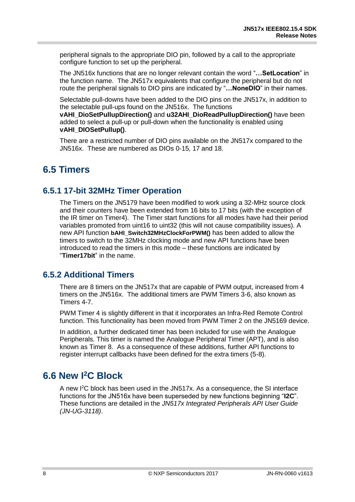peripheral signals to the appropriate DIO pin, followed by a call to the appropriate configure function to set up the peripheral.

The JN516x functions that are no longer relevant contain the word "**…SetLocation**" in the function name. The JN517x equivalents that configure the peripheral but do not route the peripheral signals to DIO pins are indicated by "**…NoneDIO**" in their names.

Selectable pull-downs have been added to the DIO pins on the JN517x, in addition to the selectable pull-ups found on the JN516x. The functions **vAHI\_DioSetPullupDirection()** and **u32AHI\_DioReadPullupDirection()** have been added to select a pull-up or pull-down when the functionality is enabled using **vAHI\_DIOSetPullup()**.

There are a restricted number of DIO pins available on the JN517x compared to the JN516x. These are numbered as DIOs 0-15, 17 and 18.

# <span id="page-7-0"></span>**6.5 Timers**

#### <span id="page-7-1"></span>**6.5.1 17-bit 32MHz Timer Operation**

The Timers on the JN5179 have been modified to work using a 32-MHz source clock and their counters have been extended from 16 bits to 17 bits (with the exception of the IR timer on Timer4). The Timer start functions for all modes have had their period variables promoted from uint16 to uint32 (this will not cause compatibility issues). A new API function **bAHI\_Switch32MHzClockForPWM()** has been added to allow the timers to switch to the 32MHz clocking mode and new API functions have been introduced to read the timers in this mode – these functions are indicated by "**Timer17bit**" in the name.

#### <span id="page-7-2"></span>**6.5.2 Additional Timers**

There are 8 timers on the JN517x that are capable of PWM output, increased from 4 timers on the JN516x. The additional timers are PWM Timers 3-6, also known as Timers 4-7.

PWM Timer 4 is slightly different in that it incorporates an Infra-Red Remote Control function. This functionality has been moved from PWM Timer 2 on the JN5169 device.

In addition, a further dedicated timer has been included for use with the Analogue Peripherals. This timer is named the Analogue Peripheral Timer (APT), and is also known as Timer 8. As a consequence of these additions, further API functions to register interrupt callbacks have been defined for the extra timers (5-8).

# <span id="page-7-3"></span>**6.6 New I<sup>2</sup>C Block**

A new I<sup>2</sup>C block has been used in the JN517x. As a consequence, the SI interface functions for the JN516x have been superseded by new functions beginning "**I2C**". These functions are detailed in the *JN517x Integrated Peripherals API User Guide (JN-UG-3118)*.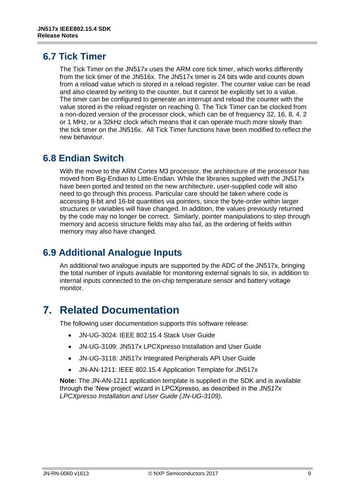### <span id="page-8-0"></span>**6.7 Tick Timer**

The Tick Timer on the JN517x uses the ARM core tick timer, which works differently from the tick timer of the JN516x. The JN517x timer is 24 bits wide and counts down from a reload value which is stored in a reload register. The counter value can be read and also cleared by writing to the counter, but it cannot be explicitly set to a value. The timer can be configured to generate an interrupt and reload the counter with the value stored in the reload register on reaching 0. The Tick Timer can be clocked from a non-dozed version of the processor clock, which can be of frequency 32, 16, 8, 4, 2 or 1 MHz, or a 32kHz clock which means that it can operate much more slowly than the tick timer on the JN516x. All Tick Timer functions have been modified to reflect the new behaviour.

### <span id="page-8-1"></span>**6.8 Endian Switch**

With the move to the ARM Cortex M3 processor, the architecture of the processor has moved from Big-Endian to Little-Endian. While the libraries supplied with the JN517x have been ported and tested on the new architecture, user-supplied code will also need to go through this process. Particular care should be taken where code is accessing 8-bit and 16-bit quantities via pointers, since the byte-order within larger structures or variables will have changed. In addition, the values previously returned by the code may no longer be correct. Similarly, pointer manipulations to step through memory and access structure fields may also fail, as the ordering of fields within memory may also have changed.

# <span id="page-8-2"></span>**6.9 Additional Analogue Inputs**

An additional two analogue inputs are supported by the ADC of the JN517x, bringing the total number of inputs available for monitoring external signals to six, in addition to internal inputs connected to the on-chip temperature sensor and battery voltage monitor.

# <span id="page-8-3"></span>**7. Related Documentation**

The following user documentation supports this software release:

- JN-UG-3024: IEEE 802.15.4 Stack User Guide
- JN-UG-3109: JN517x LPCXpresso Installation and User Guide
- JN-UG-3118: JN517x Integrated Peripherals API User Guide
- JN-AN-1211: IEEE 802.15.4 Application Template for JN517x

**Note:** The JN-AN-1211 application template is supplied in the SDK and is available through the 'New project' wizard in LPCXpresso, as described in the *JN517x LPCXpresso Installation and User Guide (JN-UG-3109)*.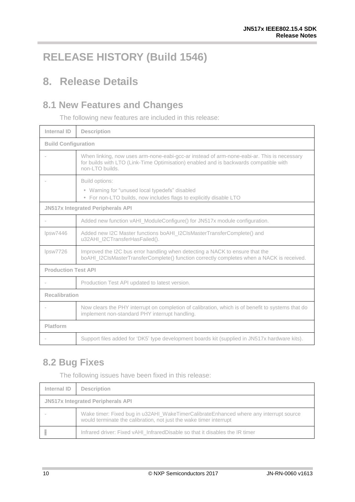# <span id="page-9-0"></span>**RELEASE HISTORY (Build 1546)**

# <span id="page-9-1"></span>**8. Release Details**

# <span id="page-9-2"></span>**8.1 New Features and Changes**

The following new features are included in this release:

| Internal ID                              | <b>Description</b>                                                                                                                                                                                     |  |
|------------------------------------------|--------------------------------------------------------------------------------------------------------------------------------------------------------------------------------------------------------|--|
| <b>Build Configuration</b>               |                                                                                                                                                                                                        |  |
|                                          | When linking, now uses arm-none-eabi-gcc-ar instead of arm-none-eabi-ar. This is necessary<br>for builds with LTO (Link-Time Optimisation) enabled and is backwards compatible with<br>non-LTO builds. |  |
|                                          | Build options:<br>• Warning for "unused local typedefs" disabled<br>• For non-LTO builds, now includes flags to explicitly disable LTO                                                                 |  |
| <b>JN517x Integrated Peripherals API</b> |                                                                                                                                                                                                        |  |
|                                          | Added new function vAHI_ModuleConfigure() for JN517x module configuration.                                                                                                                             |  |
| lpsw7446                                 | Added new I2C Master functions boAHI_I2CIsMasterTransferComplete() and<br>u32AHI_I2CTransferHasFailed().                                                                                               |  |
| lpsw7726                                 | Improved the I2C bus error handling when detecting a NACK to ensure that the<br>boAHI_I2CIsMasterTransferComplete() function correctly completes when a NACK is received.                              |  |
| <b>Production Test API</b>               |                                                                                                                                                                                                        |  |
|                                          | Production Test API updated to latest version.                                                                                                                                                         |  |
| <b>Recalibration</b>                     |                                                                                                                                                                                                        |  |
|                                          | Now clears the PHY interrupt on completion of calibration, which is of benefit to systems that do<br>implement non-standard PHY interrupt handling.                                                    |  |
| Platform                                 |                                                                                                                                                                                                        |  |
|                                          | Support files added for 'DK5' type development boards kit (supplied in JN517x hardware kits).                                                                                                          |  |

# <span id="page-9-3"></span>**8.2 Bug Fixes**

The following issues have been fixed in this release:

| <b>Internal ID</b>                       | <b>Description</b>                                                                                                                                          |  |
|------------------------------------------|-------------------------------------------------------------------------------------------------------------------------------------------------------------|--|
| <b>JN517x Integrated Peripherals API</b> |                                                                                                                                                             |  |
|                                          | Wake timer: Fixed bug in u32AHI_WakeTimerCalibrateEnhanced where any interrupt source<br>would terminate the calibration, not just the wake timer interrupt |  |
|                                          | Infrared driver: Fixed vAHI_InfraredDisable so that it disables the IR timer                                                                                |  |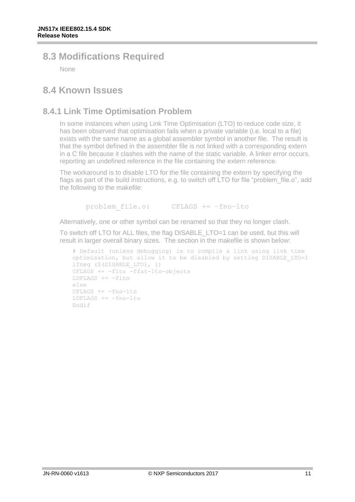# <span id="page-10-0"></span>**8.3 Modifications Required**

None

### <span id="page-10-1"></span>**8.4 Known Issues**

### <span id="page-10-2"></span>**8.4.1 Link Time Optimisation Problem**

In some instances when using Link Time Optimisation (LTO) to reduce code size, it has been observed that optimisation fails when a private variable (i.e. local to a file) exists with the same name as a global assembler symbol in another file. The result is that the symbol defined in the assembler file is not linked with a corresponding extern in a C file because it clashes with the name of the static variable. A linker error occurs, reporting an undefined reference in the file containing the extern reference.

The workaround is to disable LTO for the file containing the extern by specifying the flags as part of the build instructions, e.g. to switch off LTO for file "problem file.o", add the following to the makefile:

problem\_file.o: CFLAGS += –fno–lto

Alternatively, one or other symbol can be renamed so that they no longer clash.

To switch off LTO for ALL files, the flag DISABLE\_LTO=1 can be used, but this will result in larger overall binary sizes. The section in the makefile is shown below:

```
# Default (unless debugging) is to compile & link using link time 
optimisation, but allow it to be disabled by setting DISABLE_LTO=1
ifneq ($(DISABLE_LTO), 1)
CFLAGS += -flto -ffat-lto-objectsLDFLAGS += -flto
else
CFLAGS += -fno-1toLDFLAGS += -fno-lto
Endif
```